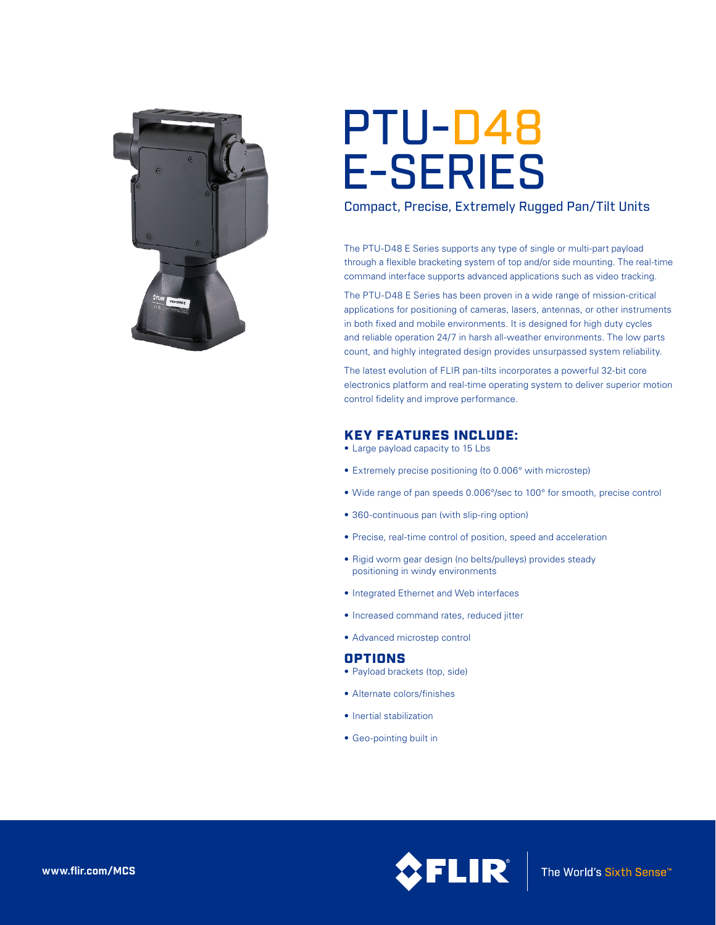

# PTU-D48 E-SERIES

## Compact, Precise, Extremely Rugged Pan/Tilt Units

The PTU-D48 E Series supports any type of single or multi-part payload through a flexible bracketing system of top and/or side mounting. The real-time command interface supports advanced applications such as video tracking.

The PTU-D48 E Series has been proven in a wide range of mission-critical applications for positioning of cameras, lasers, antennas, or other instruments in both fixed and mobile environments. It is designed for high duty cycles and reliable operation 24/7 in harsh all-weather environments. The low parts count, and highly integrated design provides unsurpassed system reliability.

The latest evolution of FLIR pan-tilts incorporates a powerful 32-bit core electronics platform and real-time operating system to deliver superior motion control fidelity and improve performance.

# KEY FEATURES INCLUDE:

- Large payload capacity to 15 Lbs
- Extremely precise positioning (to 0.006° with microstep)
- Wide range of pan speeds 0.006°/sec to 100° for smooth, precise control
- 360-continuous pan (with slip-ring option)
- Precise, real-time control of position, speed and acceleration
- Rigid worm gear design (no belts/pulleys) provides steady positioning in windy environments
- Integrated Ethernet and Web interfaces
- • Increased command rates, reduced jitter
- • Advanced microstep control

## **OPTIONS**

- Payload brackets (top, side)
- • Alternate colors/finishes
- Inertial stabilization
- • Geo-pointing built in